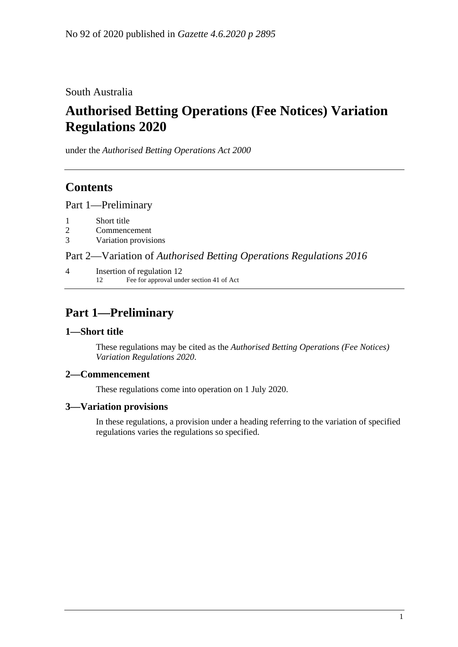South Australia

# **Authorised Betting Operations (Fee Notices) Variation Regulations 2020**

under the *Authorised Betting Operations Act 2000*

# **Contents**

Part [1—Preliminary](#page-0-0)

- 1 [Short title](#page-0-1)
- 2 [Commencement](#page-0-2)
- 3 [Variation provisions](#page-0-3)

Part 2—Variation of *[Authorised Betting Operations Regulations](#page-1-0) 2016*

4 [Insertion of regulation 12](#page-1-1) 12 Fee for approval under section 41 of Act

# <span id="page-0-0"></span>**Part 1—Preliminary**

### <span id="page-0-1"></span>**1—Short title**

These regulations may be cited as the *Authorised Betting Operations (Fee Notices) Variation Regulations 2020*.

### <span id="page-0-2"></span>**2—Commencement**

These regulations come into operation on 1 July 2020.

#### <span id="page-0-3"></span>**3—Variation provisions**

In these regulations, a provision under a heading referring to the variation of specified regulations varies the regulations so specified.